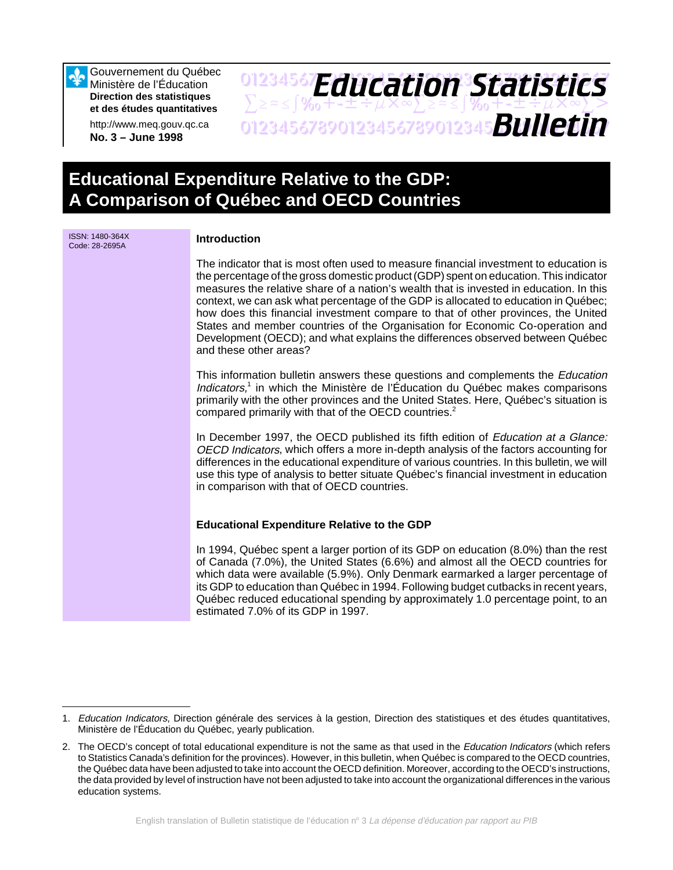Gouvernement du Québec Ministère de l'Éducation **Direction des statistiques et des études quantitatives**

http://www.meq.gouv.qc.ca **No. 3 – June 1998**

ISSN: 1480-364X

## 01234567**F***Anri Stion Statictice*  $\sum z \approx \int \mathcal{Y}_{0} + \pm \pm \div \mu \times \infty$  $\sum z \approx \pm \int \mathcal{Y}_{0} + \pm \pm \div \mu \times \infty$ 01234567890123456789012345678901234567 *Bulletin Education Statistics*

# **Educational Expenditure Relative to the GDP: A Comparison of Québec and OECD Countries**

| <b>ISSN: 1480-364X</b><br>Code: 28-2695A | <b>Introduction</b>                                                                                                                                                                                                                                                                                                                                                                                                                                                                                                                                                                                                                               |
|------------------------------------------|---------------------------------------------------------------------------------------------------------------------------------------------------------------------------------------------------------------------------------------------------------------------------------------------------------------------------------------------------------------------------------------------------------------------------------------------------------------------------------------------------------------------------------------------------------------------------------------------------------------------------------------------------|
|                                          | The indicator that is most often used to measure financial investment to education is<br>the percentage of the gross domestic product (GDP) spent on education. This indicator<br>measures the relative share of a nation's wealth that is invested in education. In this<br>context, we can ask what percentage of the GDP is allocated to education in Québec;<br>how does this financial investment compare to that of other provinces, the United<br>States and member countries of the Organisation for Economic Co-operation and<br>Development (OECD); and what explains the differences observed between Québec<br>and these other areas? |
|                                          | This information bulletin answers these questions and complements the <i>Education</i><br>Indicators, <sup>1</sup> in which the Ministère de l'Éducation du Québec makes comparisons<br>primarily with the other provinces and the United States. Here, Québec's situation is<br>compared primarily with that of the OECD countries. <sup>2</sup>                                                                                                                                                                                                                                                                                                 |
|                                          | In December 1997, the OECD published its fifth edition of Education at a Glance:<br>OECD Indicators, which offers a more in-depth analysis of the factors accounting for<br>differences in the educational expenditure of various countries. In this bulletin, we will<br>use this type of analysis to better situate Québec's financial investment in education<br>in comparison with that of OECD countries.                                                                                                                                                                                                                                    |
|                                          | <b>Educational Expenditure Relative to the GDP</b>                                                                                                                                                                                                                                                                                                                                                                                                                                                                                                                                                                                                |
|                                          | In 1994, Québec spent a larger portion of its GDP on education (8.0%) than the rest<br>of Canada (7.0%), the United States (6.6%) and almost all the OECD countries for<br>which data were available (5.9%). Only Denmark earmarked a larger percentage of<br>its GDP to education than Québec in 1994. Following budget cutbacks in recent years,<br>Québec reduced educational spending by approximately 1.0 percentage point, to an<br>estimated 7.0% of its GDP in 1997.                                                                                                                                                                      |

<sup>1.</sup> Education Indicators, Direction générale des services à la gestion, Direction des statistiques et des études quantitatives, Ministère de l'Éducation du Québec, yearly publication.

<sup>2.</sup> The OECD's concept of total educational expenditure is not the same as that used in the Education Indicators (which refers to Statistics Canada's definition for the provinces). However, in this bulletin, when Québec is compared to the OECD countries, the Québec data have been adjusted to take into account the OECD definition. Moreover, according to the OECD's instructions, the data provided by level of instruction have not been adjusted to take into account the organizational differences in the various education systems.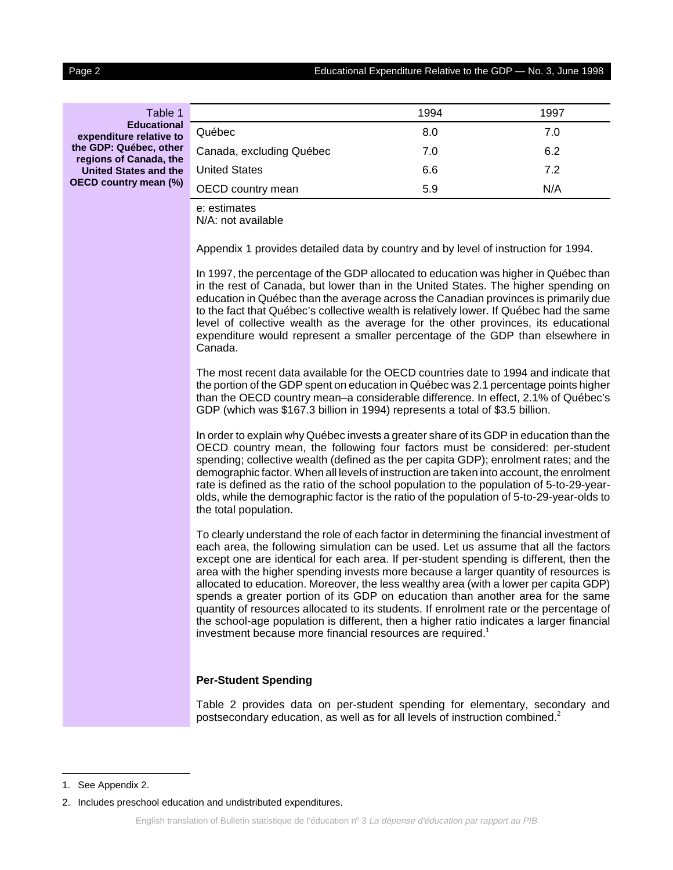| Table 1                                                |                                                                                                                                                                                                                                                                                                                                                                                                                                                                                                                                                                                                                                                                                                                                                                                                                                                                                                                                                                                                                                                                                                                                                                                                                                                                                                                                                                                                                                                                                                                                                                                                                                                                                                               | 1994 | 1997 |
|--------------------------------------------------------|---------------------------------------------------------------------------------------------------------------------------------------------------------------------------------------------------------------------------------------------------------------------------------------------------------------------------------------------------------------------------------------------------------------------------------------------------------------------------------------------------------------------------------------------------------------------------------------------------------------------------------------------------------------------------------------------------------------------------------------------------------------------------------------------------------------------------------------------------------------------------------------------------------------------------------------------------------------------------------------------------------------------------------------------------------------------------------------------------------------------------------------------------------------------------------------------------------------------------------------------------------------------------------------------------------------------------------------------------------------------------------------------------------------------------------------------------------------------------------------------------------------------------------------------------------------------------------------------------------------------------------------------------------------------------------------------------------------|------|------|
| <b>Educational</b><br>expenditure relative to          | Québec                                                                                                                                                                                                                                                                                                                                                                                                                                                                                                                                                                                                                                                                                                                                                                                                                                                                                                                                                                                                                                                                                                                                                                                                                                                                                                                                                                                                                                                                                                                                                                                                                                                                                                        | 8.0  | 7.0  |
| the GDP: Québec, other                                 | Canada, excluding Québec                                                                                                                                                                                                                                                                                                                                                                                                                                                                                                                                                                                                                                                                                                                                                                                                                                                                                                                                                                                                                                                                                                                                                                                                                                                                                                                                                                                                                                                                                                                                                                                                                                                                                      | 7.0  | 6.2  |
| regions of Canada, the<br><b>United States and the</b> | <b>United States</b>                                                                                                                                                                                                                                                                                                                                                                                                                                                                                                                                                                                                                                                                                                                                                                                                                                                                                                                                                                                                                                                                                                                                                                                                                                                                                                                                                                                                                                                                                                                                                                                                                                                                                          | 6.6  | 7.2  |
|                                                        | OECD country mean                                                                                                                                                                                                                                                                                                                                                                                                                                                                                                                                                                                                                                                                                                                                                                                                                                                                                                                                                                                                                                                                                                                                                                                                                                                                                                                                                                                                                                                                                                                                                                                                                                                                                             | 5.9  | N/A  |
| OECD country mean (%)                                  | e: estimates<br>N/A: not available<br>Appendix 1 provides detailed data by country and by level of instruction for 1994.<br>In 1997, the percentage of the GDP allocated to education was higher in Québec than<br>in the rest of Canada, but lower than in the United States. The higher spending on<br>education in Québec than the average across the Canadian provinces is primarily due<br>to the fact that Québec's collective wealth is relatively lower. If Québec had the same<br>level of collective wealth as the average for the other provinces, its educational<br>expenditure would represent a smaller percentage of the GDP than elsewhere in<br>Canada.<br>The most recent data available for the OECD countries date to 1994 and indicate that<br>the portion of the GDP spent on education in Québec was 2.1 percentage points higher<br>than the OECD country mean-a considerable difference. In effect, 2.1% of Québec's<br>GDP (which was \$167.3 billion in 1994) represents a total of \$3.5 billion.<br>In order to explain why Québec invests a greater share of its GDP in education than the<br>OECD country mean, the following four factors must be considered: per-student<br>spending; collective wealth (defined as the per capita GDP); enrolment rates; and the<br>demographic factor. When all levels of instruction are taken into account, the enrolment<br>rate is defined as the ratio of the school population to the population of 5-to-29-year-<br>olds, while the demographic factor is the ratio of the population of 5-to-29-year-olds to<br>the total population.<br>To clearly understand the role of each factor in determining the financial investment of |      |      |
|                                                        | each area, the following simulation can be used. Let us assume that all the factors<br>except one are identical for each area. If per-student spending is different, then the<br>area with the higher spending invests more because a larger quantity of resources is<br>allocated to education. Moreover, the less wealthy area (with a lower per capita GDP)<br>spends a greater portion of its GDP on education than another area for the same<br>quantity of resources allocated to its students. If enrolment rate or the percentage of<br>the school-age population is different, then a higher ratio indicates a larger financial<br>investment because more financial resources are required. <sup>1</sup>                                                                                                                                                                                                                                                                                                                                                                                                                                                                                                                                                                                                                                                                                                                                                                                                                                                                                                                                                                                            |      |      |
|                                                        | <b>Per-Student Spending</b>                                                                                                                                                                                                                                                                                                                                                                                                                                                                                                                                                                                                                                                                                                                                                                                                                                                                                                                                                                                                                                                                                                                                                                                                                                                                                                                                                                                                                                                                                                                                                                                                                                                                                   |      |      |

Table 2 provides data on per-student spending for elementary, secondary and postsecondary education, as well as for all levels of instruction combined.2

<sup>1.</sup> See Appendix 2.

<sup>2.</sup> Includes preschool education and undistributed expenditures.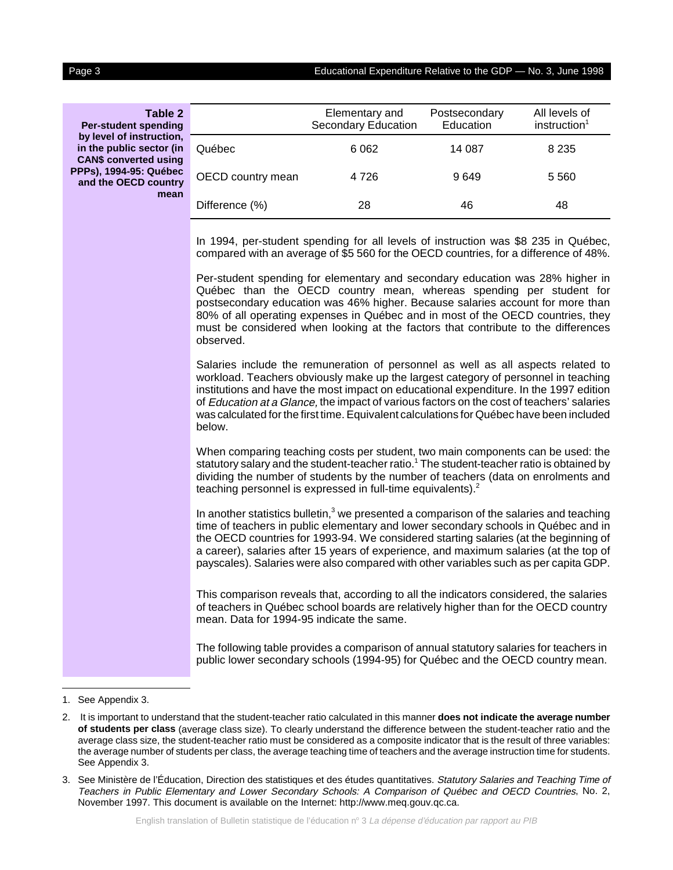Educational Expenditure Relative to the GDP  $-$  No. 3, June 1998

| G<br>۹ì<br>ι<br>Ы |  |   |  |
|-------------------|--|---|--|
|                   |  |   |  |
|                   |  | ٠ |  |

**Table 2 Per-student spending by level of instruction, in the public sector (in CAN\$ converted using PPPs), 1994-95: Québec and the OECD country mean**

|                   | Elementary and<br>Secondary Education | Postsecondary<br>Education | All levels of<br>instruction <sup>1</sup> |
|-------------------|---------------------------------------|----------------------------|-------------------------------------------|
| Québec            | 6 0 62                                | 14 087                     | 8 2 3 5                                   |
| OECD country mean | 4 7 2 6                               | 9649                       | 5 5 6 0                                   |
| Difference (%)    | 28                                    | 46                         | 48                                        |

In 1994, per-student spending for all levels of instruction was \$8 235 in Québec, compared with an average of \$5 560 for the OECD countries, for a difference of 48%.

Per-student spending for elementary and secondary education was 28% higher in Québec than the OECD country mean, whereas spending per student for postsecondary education was 46% higher. Because salaries account for more than 80% of all operating expenses in Québec and in most of the OECD countries, they must be considered when looking at the factors that contribute to the differences observed.

Salaries include the remuneration of personnel as well as all aspects related to workload. Teachers obviously make up the largest category of personnel in teaching institutions and have the most impact on educational expenditure. In the 1997 edition of Education at a Glance, the impact of various factors on the cost of teachers' salaries was calculated for the first time. Equivalent calculations for Québec have been included below.

When comparing teaching costs per student, two main components can be used: the statutory salary and the student-teacher ratio.<sup>1</sup> The student-teacher ratio is obtained by dividing the number of students by the number of teachers (data on enrolments and teaching personnel is expressed in full-time equivalents).<sup>2</sup>

In another statistics bulletin, $3$  we presented a comparison of the salaries and teaching time of teachers in public elementary and lower secondary schools in Québec and in the OECD countries for 1993-94. We considered starting salaries (at the beginning of a career), salaries after 15 years of experience, and maximum salaries (at the top of payscales). Salaries were also compared with other variables such as per capita GDP.

This comparison reveals that, according to all the indicators considered, the salaries of teachers in Québec school boards are relatively higher than for the OECD country mean. Data for 1994-95 indicate the same.

The following table provides a comparison of annual statutory salaries for teachers in public lower secondary schools (1994-95) for Québec and the OECD country mean.

1. See Appendix 3.

<sup>2.</sup> It is important to understand that the student-teacher ratio calculated in this manner **does not indicate the average number of students per class** (average class size). To clearly understand the difference between the student-teacher ratio and the average class size, the student-teacher ratio must be considered as a composite indicator that is the result of three variables: the average number of students per class, the average teaching time of teachers and the average instruction time for students. See Appendix 3.

<sup>3.</sup> See Ministère de l'Éducation, Direction des statistiques et des études quantitatives. Statutory Salaries and Teaching Time of Teachers in Public Elementary and Lower Secondary Schools: A Comparison of Québec and OECD Countries, No. 2, November 1997. This document is available on the Internet: http://www.meq.gouv.qc.ca.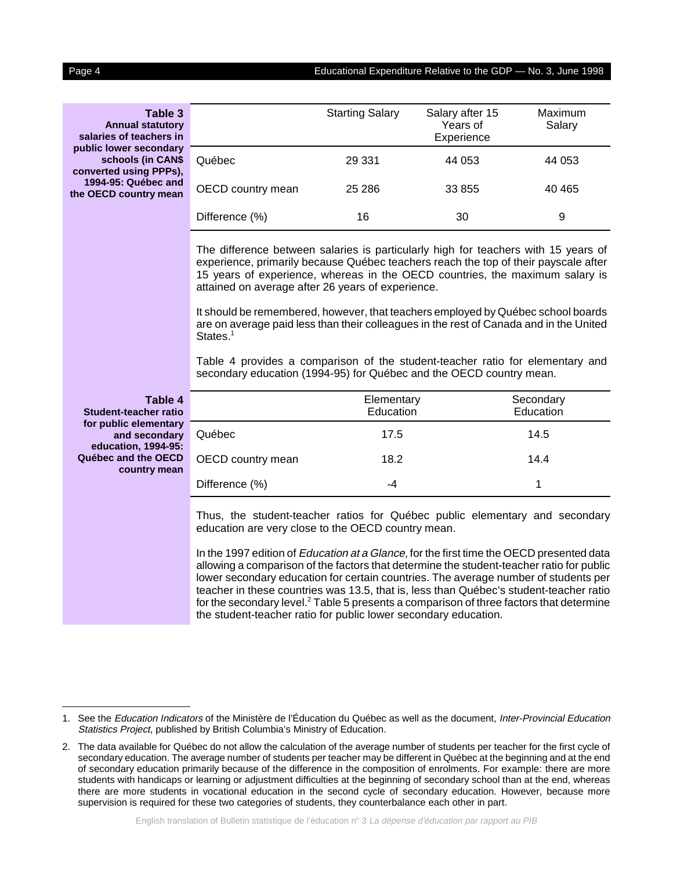#### Page 4 Educational Expenditure Relative to the GDP — No. 3, June 1998

| <b>Table 3</b><br><b>Annual statutory</b><br>salaries of teachers in  |                                                                                                                                                                                                                                                                                                                                                                                                                                                                                                                                                                                                       | <b>Starting Salary</b>  | Salary after 15<br>Years of<br>Experience | Maximum<br>Salary      |  |  |
|-----------------------------------------------------------------------|-------------------------------------------------------------------------------------------------------------------------------------------------------------------------------------------------------------------------------------------------------------------------------------------------------------------------------------------------------------------------------------------------------------------------------------------------------------------------------------------------------------------------------------------------------------------------------------------------------|-------------------------|-------------------------------------------|------------------------|--|--|
| public lower secondary<br>schools (in CAN\$<br>converted using PPPs), | Québec                                                                                                                                                                                                                                                                                                                                                                                                                                                                                                                                                                                                | 29 3 31                 | 44 053                                    | 44 053                 |  |  |
| 1994-95: Québec and<br>the OECD country mean                          | OECD country mean                                                                                                                                                                                                                                                                                                                                                                                                                                                                                                                                                                                     | 25 28 6                 | 33 855                                    | 40 4 65                |  |  |
|                                                                       | Difference (%)                                                                                                                                                                                                                                                                                                                                                                                                                                                                                                                                                                                        | 16                      | 30                                        | 9                      |  |  |
|                                                                       | The difference between salaries is particularly high for teachers with 15 years of<br>experience, primarily because Québec teachers reach the top of their payscale after<br>15 years of experience, whereas in the OECD countries, the maximum salary is<br>attained on average after 26 years of experience.<br>It should be remembered, however, that teachers employed by Québec school boards<br>are on average paid less than their colleagues in the rest of Canada and in the United<br>States. <sup>1</sup><br>Table 4 provides a comparison of the student-teacher ratio for elementary and |                         |                                           |                        |  |  |
|                                                                       | secondary education (1994-95) for Québec and the OECD country mean.                                                                                                                                                                                                                                                                                                                                                                                                                                                                                                                                   |                         |                                           |                        |  |  |
| Table 4<br><b>Student-teacher ratio</b>                               |                                                                                                                                                                                                                                                                                                                                                                                                                                                                                                                                                                                                       | Elementary<br>Education |                                           | Secondary<br>Education |  |  |
| for public elementary<br>and secondary                                | Québec                                                                                                                                                                                                                                                                                                                                                                                                                                                                                                                                                                                                | 17.5                    |                                           | 14.5                   |  |  |
| education, 1994-95:<br>Québec and the OECD<br>country mean            | OECD country mean                                                                                                                                                                                                                                                                                                                                                                                                                                                                                                                                                                                     | 18.2                    |                                           | 14.4                   |  |  |
|                                                                       | Difference (%)                                                                                                                                                                                                                                                                                                                                                                                                                                                                                                                                                                                        | $-4$                    |                                           | 1                      |  |  |
|                                                                       | Thus, the student-teacher ratios for Québec public elementary and secondary<br>education are very close to the OECD country mean.                                                                                                                                                                                                                                                                                                                                                                                                                                                                     |                         |                                           |                        |  |  |
|                                                                       | In the 1997 edition of <i>Education at a Glance</i> , for the first time the OECD presented data<br>allowing a comparison of the factors that determine the student-teacher ratio for public<br>lower secondary education for certain countries. The average number of students per<br>teacher in these countries was 13.5, that is, less than Québec's student-teacher ratio<br>for the secondary level. <sup>2</sup> Table 5 presents a comparison of three factors that determine<br>the student-teacher ratio for public lower secondary education.                                               |                         |                                           |                        |  |  |

<sup>1.</sup> See the Education Indicators of the Ministère de l'Éducation du Québec as well as the document, Inter-Provincial Education Statistics Project, published by British Columbia's Ministry of Education.

<sup>2.</sup> The data available for Québec do not allow the calculation of the average number of students per teacher for the first cycle of secondary education. The average number of students per teacher may be different in Québec at the beginning and at the end of secondary education primarily because of the difference in the composition of enrolments. For example: there are more students with handicaps or learning or adjustment difficulties at the beginning of secondary school than at the end, whereas there are more students in vocational education in the second cycle of secondary education. However, because more supervision is required for these two categories of students, they counterbalance each other in part.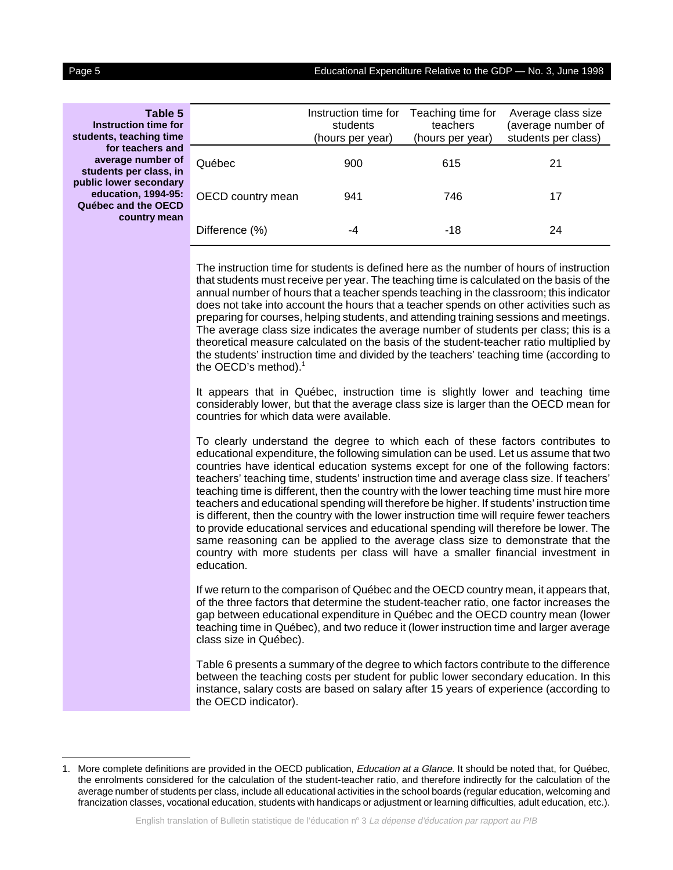| 90 | 16 |  |
|----|----|--|
|    |    |  |

student

public

| Table 5<br>Instruction time for<br>students, teaching time                           |                   | Instruction time for<br>students<br>(hours per year) | Teaching time for<br>teachers<br>(hours per year) | Average class size<br>(average number of<br>students per class) |
|--------------------------------------------------------------------------------------|-------------------|------------------------------------------------------|---------------------------------------------------|-----------------------------------------------------------------|
| for teachers and<br>average number of<br>students per class, in                      | Québec            | 900                                                  | 615                                               | 21                                                              |
| oublic lower secondary<br>education, 1994-95:<br>Québec and the OECD<br>country mean | OECD country mean | 941                                                  | 746                                               | 17                                                              |
|                                                                                      | Difference (%)    | -4                                                   | -18                                               | 24                                                              |
|                                                                                      |                   |                                                      |                                                   |                                                                 |

The instruction time for students is defined here as the number of hours of instruction that students must receive per year. The teaching time is calculated on the basis of the annual number of hours that a teacher spends teaching in the classroom; this indicator does not take into account the hours that a teacher spends on other activities such as preparing for courses, helping students, and attending training sessions and meetings. The average class size indicates the average number of students per class; this is a theoretical measure calculated on the basis of the student-teacher ratio multiplied by the students' instruction time and divided by the teachers' teaching time (according to the OECD's method).<sup>1</sup>

It appears that in Québec, instruction time is slightly lower and teaching time considerably lower, but that the average class size is larger than the OECD mean for countries for which data were available.

To clearly understand the degree to which each of these factors contributes to educational expenditure, the following simulation can be used. Let us assume that two countries have identical education systems except for one of the following factors: teachers' teaching time, students' instruction time and average class size. If teachers' teaching time is different, then the country with the lower teaching time must hire more teachers and educational spending will therefore be higher. If students' instruction time is different, then the country with the lower instruction time will require fewer teachers to provide educational services and educational spending will therefore be lower. The same reasoning can be applied to the average class size to demonstrate that the country with more students per class will have a smaller financial investment in education.

If we return to the comparison of Québec and the OECD country mean, it appears that, of the three factors that determine the student-teacher ratio, one factor increases the gap between educational expenditure in Québec and the OECD country mean (lower teaching time in Québec), and two reduce it (lower instruction time and larger average class size in Québec).

Table 6 presents a summary of the degree to which factors contribute to the difference between the teaching costs per student for public lower secondary education. In this instance, salary costs are based on salary after 15 years of experience (according to the OECD indicator).

<sup>1.</sup> More complete definitions are provided in the OECD publication, *Education at a Glance*. It should be noted that, for Québec, the enrolments considered for the calculation of the student-teacher ratio, and therefore indirectly for the calculation of the average number of students per class, include all educational activities in the school boards (regular education, welcoming and francization classes, vocational education, students with handicaps or adjustment or learning difficulties, adult education, etc.).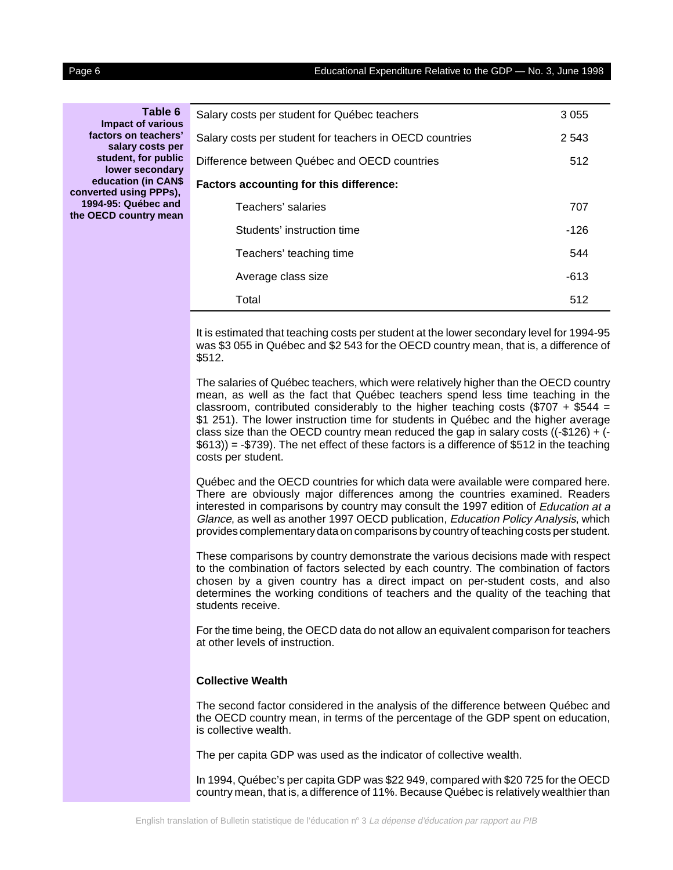**Table 6 Impact of various factors on teachers' salary costs per student, for public lower secondary education (in CAN\$ converted using PPPs), 1994-95: Québec and the OECD country mean**

| 3 0 5 5<br>2 5 4 3<br>512<br>Teachers' salaries<br>707<br>Students' instruction time<br>$-126$<br>544<br>Teachers' teaching time               |  |  |  |
|------------------------------------------------------------------------------------------------------------------------------------------------|--|--|--|
| Salary costs per student for teachers in OECD countries                                                                                        |  |  |  |
| Difference between Québec and OECD countries                                                                                                   |  |  |  |
| Salary costs per student for Québec teachers<br><b>Factors accounting for this difference:</b><br>Average class size<br>$-613$<br>Total<br>512 |  |  |  |
|                                                                                                                                                |  |  |  |
|                                                                                                                                                |  |  |  |
|                                                                                                                                                |  |  |  |
|                                                                                                                                                |  |  |  |
|                                                                                                                                                |  |  |  |
|                                                                                                                                                |  |  |  |

It is estimated that teaching costs per student at the lower secondary level for 1994-95 was \$3 055 in Québec and \$2 543 for the OECD country mean, that is, a difference of \$512.

The salaries of Québec teachers, which were relatively higher than the OECD country mean, as well as the fact that Québec teachers spend less time teaching in the classroom, contributed considerably to the higher teaching costs (\$707 + \$544 = \$1 251). The lower instruction time for students in Québec and the higher average class size than the OECD country mean reduced the gap in salary costs  $((-\$126) + ( $613$ ) = -\$739). The net effect of these factors is a difference of \$512 in the teaching costs per student.

Québec and the OECD countries for which data were available were compared here. There are obviously major differences among the countries examined. Readers interested in comparisons by country may consult the 1997 edition of Education at a Glance, as well as another 1997 OECD publication, Education Policy Analysis, which provides complementary data on comparisons by country of teaching costs per student.

These comparisons by country demonstrate the various decisions made with respect to the combination of factors selected by each country. The combination of factors chosen by a given country has a direct impact on per-student costs, and also determines the working conditions of teachers and the quality of the teaching that students receive.

For the time being, the OECD data do not allow an equivalent comparison for teachers at other levels of instruction.

#### **Collective Wealth**

The second factor considered in the analysis of the difference between Québec and the OECD country mean, in terms of the percentage of the GDP spent on education, is collective wealth.

The per capita GDP was used as the indicator of collective wealth.

In 1994, Québec's per capita GDP was \$22 949, compared with \$20 725 for the OECD country mean, that is, a difference of 11%. Because Québec is relatively wealthier than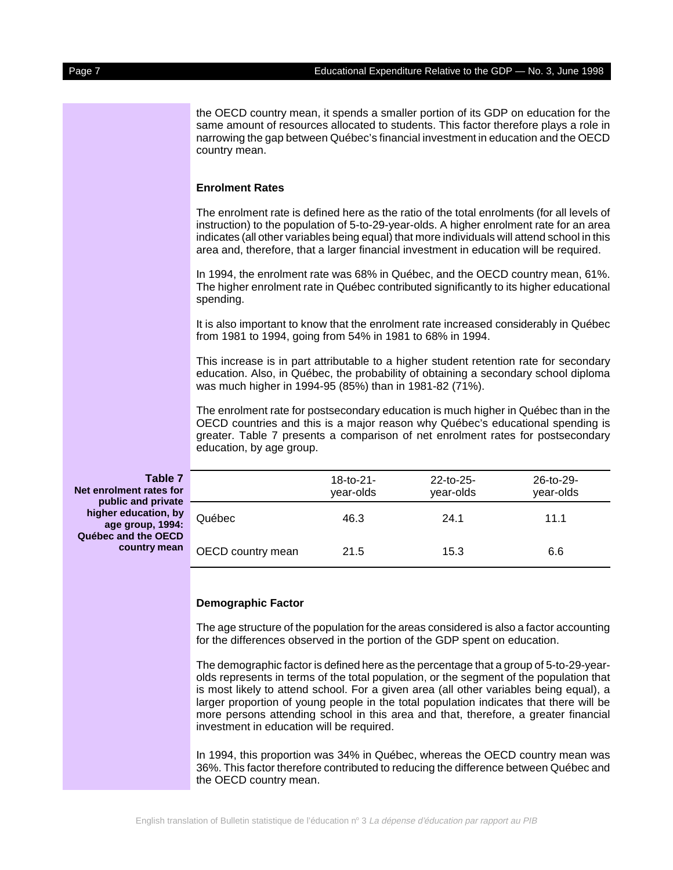the OECD country mean, it spends a smaller portion of its GDP on education for the same amount of resources allocated to students. This factor therefore plays a role in narrowing the gap between Québec's financial investment in education and the OECD country mean.

### **Enrolment Rates**

The enrolment rate is defined here as the ratio of the total enrolments (for all levels of instruction) to the population of 5-to-29-year-olds. A higher enrolment rate for an area indicates (all other variables being equal) that more individuals will attend school in this area and, therefore, that a larger financial investment in education will be required.

In 1994, the enrolment rate was 68% in Québec, and the OECD country mean, 61%. The higher enrolment rate in Québec contributed significantly to its higher educational spending.

It is also important to know that the enrolment rate increased considerably in Québec from 1981 to 1994, going from 54% in 1981 to 68% in 1994.

This increase is in part attributable to a higher student retention rate for secondary education. Also, in Québec, the probability of obtaining a secondary school diploma was much higher in 1994-95 (85%) than in 1981-82 (71%).

The enrolment rate for postsecondary education is much higher in Québec than in the OECD countries and this is a major reason why Québec's educational spending is greater. Table 7 presents a comparison of net enrolment rates for postsecondary education, by age group.

**Table 7 Net enrolment rates for public and private higher education, by age group, 1994: Québec and the OECD country mean**

|                   | 18-to-21-<br>year-olds | $22-to-25-$<br>year-olds | 26-to-29-<br>year-olds |  |
|-------------------|------------------------|--------------------------|------------------------|--|
| Québec            | 46.3                   | 24.1                     | 11.1                   |  |
| OECD country mean | 21.5                   | 15.3                     | 6.6                    |  |

#### **Demographic Factor**

The age structure of the population for the areas considered is also a factor accounting for the differences observed in the portion of the GDP spent on education.

The demographic factor is defined here as the percentage that a group of 5-to-29-yearolds represents in terms of the total population, or the segment of the population that is most likely to attend school. For a given area (all other variables being equal), a larger proportion of young people in the total population indicates that there will be more persons attending school in this area and that, therefore, a greater financial investment in education will be required.

In 1994, this proportion was 34% in Québec, whereas the OECD country mean was 36%. This factor therefore contributed to reducing the difference between Québec and the OECD country mean.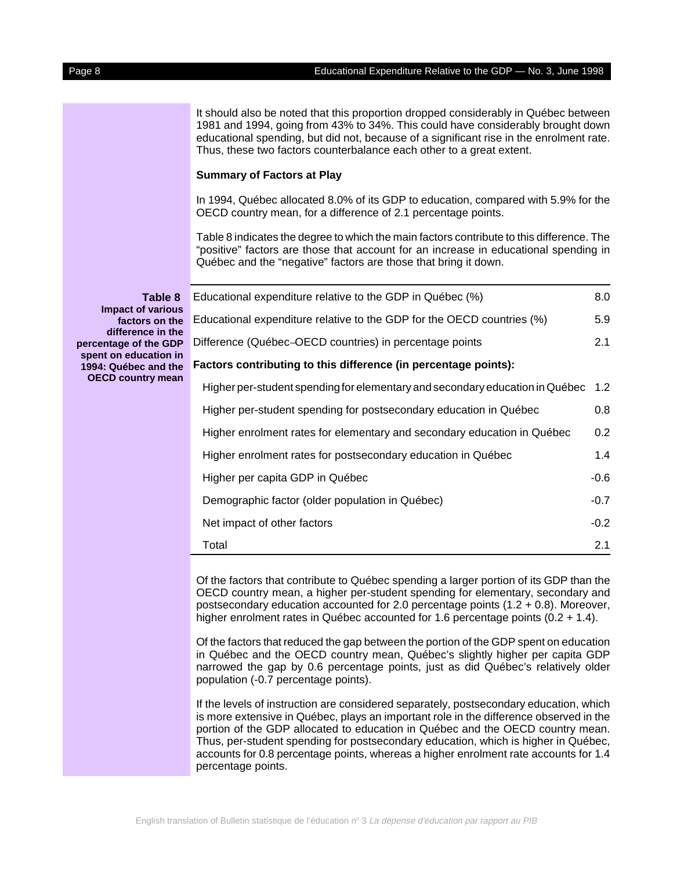It should also be noted that this proportion dropped considerably in Québec between 1981 and 1994, going from 43% to 34%. This could have considerably brought down educational spending, but did not, because of a significant rise in the enrolment rate. Thus, these two factors counterbalance each other to a great extent.

#### **Summary of Factors at Play**

In 1994, Québec allocated 8.0% of its GDP to education, compared with 5.9% for the OECD country mean, for a difference of 2.1 percentage points.

Table 8 indicates the degree to which the main factors contribute to this difference. The "positive" factors are those that account for an increase in educational spending in Québec and the "negative" factors are those that bring it down.

|        | Educational expenditure relative to the GDP in Québec (%)                    | 8.0              |
|--------|------------------------------------------------------------------------------|------------------|
| S<br>e | Educational expenditure relative to the GDP for the OECD countries (%)       | 5.9              |
| e<br>P | Difference (Québec-OECD countries) in percentage points                      | 2.1              |
| n<br>e | Factors contributing to this difference (in percentage points):              |                  |
| n      | Higher per-student spending for elementary and secondary education in Québec | 1.2 <sub>2</sub> |
|        | Higher per-student spending for postsecondary education in Québec            | 0.8              |
|        | Higher enrolment rates for elementary and secondary education in Québec      | 0.2 <sub>0</sub> |
|        | Higher enrolment rates for postsecondary education in Québec                 | 1.4              |
|        | Higher per capita GDP in Québec                                              | $-0.6$           |
|        | Demographic factor (older population in Québec)                              | $-0.7$           |
|        | Net impact of other factors                                                  | $-0.2$           |
|        | Total                                                                        | 2.1              |

Of the factors that contribute to Québec spending a larger portion of its GDP than the OECD country mean, a higher per-student spending for elementary, secondary and postsecondary education accounted for 2.0 percentage points (1.2 + 0.8). Moreover, higher enrolment rates in Québec accounted for 1.6 percentage points (0.2 + 1.4).

Of the factors that reduced the gap between the portion of the GDP spent on education in Québec and the OECD country mean, Québec's slightly higher per capita GDP narrowed the gap by 0.6 percentage points, just as did Québec's relatively older population (-0.7 percentage points).

If the levels of instruction are considered separately, postsecondary education, which is more extensive in Québec, plays an important role in the difference observed in the portion of the GDP allocated to education in Québec and the OECD country mean. Thus, per-student spending for postsecondary education, which is higher in Québec, accounts for 0.8 percentage points, whereas a higher enrolment rate accounts for 1.4 percentage points.

**Table 8 Impact of variou** factors on th **difference in the percentage of the GD** spent on education i **1994: Québec and the OECD country mea**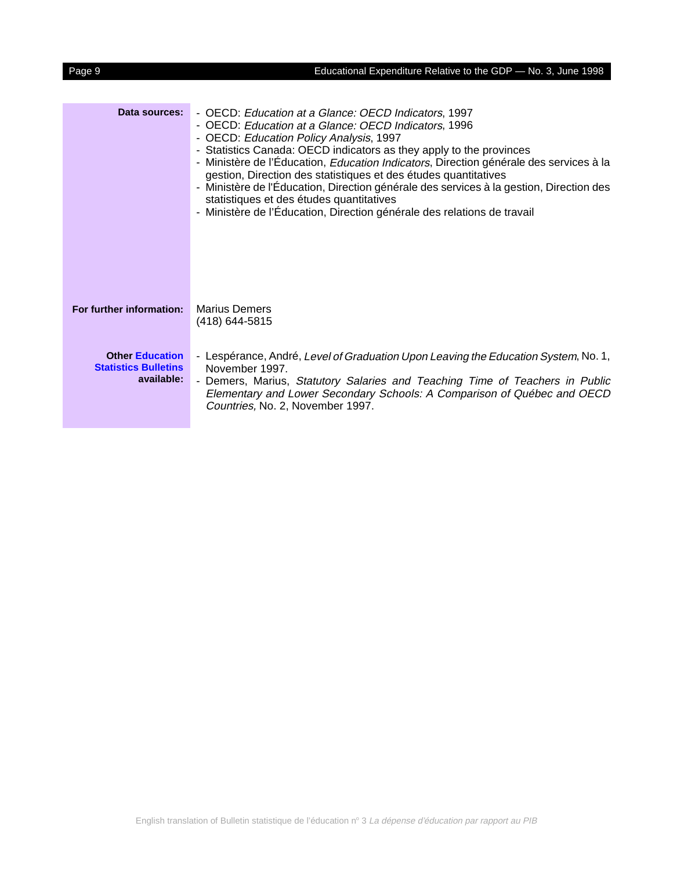| Data sources:                                                       | - OECD: Education at a Glance: OECD Indicators, 1997<br>- OECD: Education at a Glance: OECD Indicators, 1996<br>- OECD: Education Policy Analysis, 1997<br>- Statistics Canada: OECD indicators as they apply to the provinces<br>- Ministère de l'Éducation, Education Indicators, Direction générale des services à la<br>gestion, Direction des statistiques et des études quantitatives<br>- Ministère de l'Éducation, Direction générale des services à la gestion, Direction des<br>statistiques et des études quantitatives<br>- Ministère de l'Éducation, Direction générale des relations de travail |
|---------------------------------------------------------------------|---------------------------------------------------------------------------------------------------------------------------------------------------------------------------------------------------------------------------------------------------------------------------------------------------------------------------------------------------------------------------------------------------------------------------------------------------------------------------------------------------------------------------------------------------------------------------------------------------------------|
| For further information:                                            | <b>Marius Demers</b><br>(418) 644-5815                                                                                                                                                                                                                                                                                                                                                                                                                                                                                                                                                                        |
| <b>Other Education</b><br><b>Statistics Bulletins</b><br>available: | - Lespérance, André, Level of Graduation Upon Leaving the Education System, No. 1,<br>November 1997.<br>- Demers, Marius, Statutory Salaries and Teaching Time of Teachers in Public<br>Elementary and Lower Secondary Schools: A Comparison of Québec and OECD<br>Countries, No. 2, November 1997.                                                                                                                                                                                                                                                                                                           |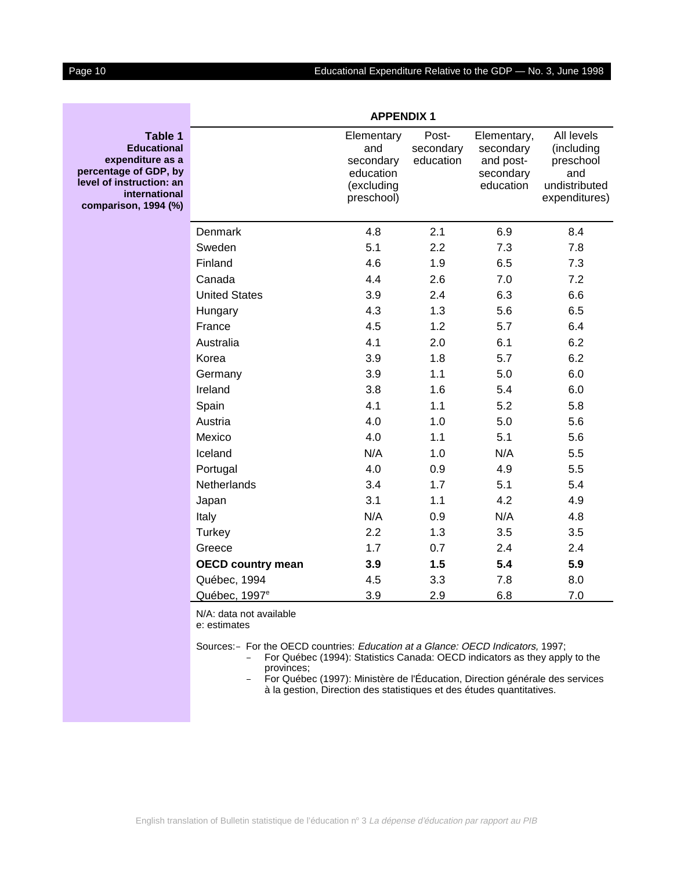### Page 10 **Educational Expenditure Relative to the GDP** — No. 3, June 1998

| Table 1<br><b>Educational</b><br>expenditure as a<br>percentage of GDP, by<br>level of instruction: an<br>international<br>comparison, 1994 (%) |                                                                                 | Elementary<br>and<br>secondary<br>education<br>(excluding<br>preschool) | Post-<br>secondary<br>education | Elementary,<br>secondary<br>and post-<br>secondary<br>education | All levels<br>(including<br>preschool<br>and<br>undistributed<br>expenditures) |
|-------------------------------------------------------------------------------------------------------------------------------------------------|---------------------------------------------------------------------------------|-------------------------------------------------------------------------|---------------------------------|-----------------------------------------------------------------|--------------------------------------------------------------------------------|
|                                                                                                                                                 | Denmark                                                                         | 4.8                                                                     | 2.1                             | 6.9                                                             | 8.4                                                                            |
|                                                                                                                                                 | Sweden                                                                          | 5.1                                                                     | 2.2                             | 7.3                                                             | 7.8                                                                            |
|                                                                                                                                                 | Finland                                                                         | 4.6                                                                     | 1.9                             | 6.5                                                             | 7.3                                                                            |
|                                                                                                                                                 | Canada                                                                          | 4.4                                                                     | 2.6                             | 7.0                                                             | 7.2                                                                            |
|                                                                                                                                                 | <b>United States</b>                                                            | 3.9                                                                     | 2.4                             | 6.3                                                             | 6.6                                                                            |
|                                                                                                                                                 | Hungary                                                                         | 4.3                                                                     | 1.3                             | 5.6                                                             | 6.5                                                                            |
|                                                                                                                                                 | France                                                                          | 4.5                                                                     | 1.2                             | 5.7                                                             | 6.4                                                                            |
|                                                                                                                                                 | Australia                                                                       | 4.1                                                                     | 2.0                             | 6.1                                                             | 6.2                                                                            |
|                                                                                                                                                 | Korea                                                                           | 3.9                                                                     | 1.8                             | 5.7                                                             | 6.2                                                                            |
|                                                                                                                                                 | Germany                                                                         | 3.9                                                                     | 1.1                             | 5.0                                                             | 6.0                                                                            |
|                                                                                                                                                 | Ireland                                                                         | 3.8                                                                     | 1.6                             | 5.4                                                             | 6.0                                                                            |
|                                                                                                                                                 | Spain                                                                           | 4.1                                                                     | 1.1                             | 5.2                                                             | 5.8                                                                            |
|                                                                                                                                                 | Austria                                                                         | 4.0                                                                     | 1.0                             | 5.0                                                             | 5.6                                                                            |
|                                                                                                                                                 | Mexico                                                                          | 4.0                                                                     | 1.1                             | 5.1                                                             | 5.6                                                                            |
|                                                                                                                                                 | Iceland                                                                         | N/A                                                                     | 1.0                             | N/A                                                             | 5.5                                                                            |
|                                                                                                                                                 | Portugal                                                                        | 4.0                                                                     | 0.9                             | 4.9                                                             | 5.5                                                                            |
|                                                                                                                                                 | Netherlands                                                                     | 3.4                                                                     | 1.7                             | 5.1                                                             | 5.4                                                                            |
|                                                                                                                                                 | Japan                                                                           | 3.1                                                                     | 1.1                             | 4.2                                                             | 4.9                                                                            |
|                                                                                                                                                 | Italy                                                                           | N/A                                                                     | 0.9                             | N/A                                                             | 4.8                                                                            |
|                                                                                                                                                 | <b>Turkey</b>                                                                   | 2.2                                                                     | 1.3                             | 3.5                                                             | 3.5                                                                            |
|                                                                                                                                                 | Greece                                                                          | 1.7                                                                     | 0.7                             | 2.4                                                             | 2.4                                                                            |
|                                                                                                                                                 | <b>OECD country mean</b>                                                        | 3.9                                                                     | 1.5                             | 5.4                                                             | 5.9                                                                            |
|                                                                                                                                                 | Québec, 1994                                                                    | 4.5                                                                     | 3.3                             | 7.8                                                             | 8.0                                                                            |
|                                                                                                                                                 | Québec, 1997 <sup>e</sup>                                                       | 3.9                                                                     | 2.9                             | 6.8                                                             | 7.0                                                                            |
|                                                                                                                                                 | N/A: data not available<br>e: estimates                                         |                                                                         |                                 |                                                                 |                                                                                |
|                                                                                                                                                 | Sources:- For the OECD countries: Education at a Glance: OECD Indicators, 1997; |                                                                         |                                 |                                                                 |                                                                                |

**APPENDIX 1**

 For Québec (1994): Statistics Canada: OECD indicators as they apply to the provinces;

 For Québec (1997): Ministère de l'Éducation, Direction générale des services à la gestion, Direction des statistiques et des études quantitatives.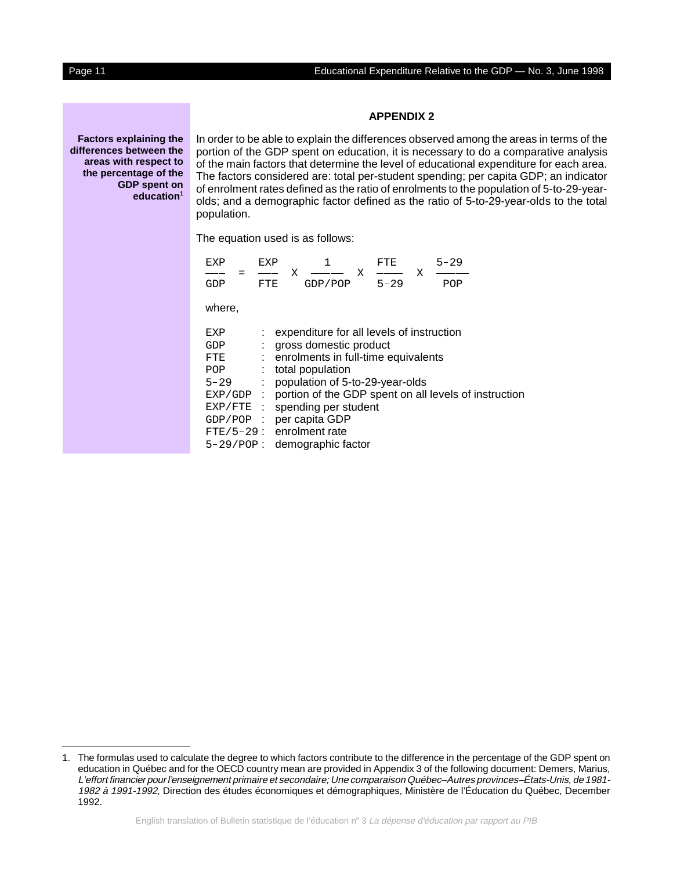#### **APPENDIX 2**

**Factors explaining the differences between the areas with respect to the percentage of the GDP spent on education1**

In order to be able to explain the differences observed among the areas in terms of the portion of the GDP spent on education, it is necessary to do a comparative analysis of the main factors that determine the level of educational expenditure for each area. The factors considered are: total per-student spending; per capita GDP; an indicator of enrolment rates defined as the ratio of enrolments to the population of 5-to-29-yearolds; and a demographic factor defined as the ratio of 5-to-29-year-olds to the total population. he factors considered are: total per-student spending;<br>
enrolment rates defined as the ratio of enrolments to th<br>
ds; and a demographic factor defined as the ratio of 5<br>
poulation.<br>
The equation used is as follows:<br>
EXP =

| opulation. |     | lds; and a demographic factor defined as the ratio of 5 |          |          |
|------------|-----|---------------------------------------------------------|----------|----------|
|            |     | he equation used is as follows:                         |          |          |
| FXP        | FXP |                                                         | FTF.     | $5 - 29$ |
| GDP        | FTE | GDP/POP                                                 | $5 - 29$ | סרוכ     |

| : expenditure for all levels of instruction                          |
|----------------------------------------------------------------------|
| gross domestic product                                               |
| : enrolments in full-time equivalents                                |
| total population                                                     |
| population of 5-to-29-year-olds                                      |
| portion of the GDP spent on all levels of instruction<br>$EXP/GDP$ : |
| spending per student<br>EXP/FTE :                                    |
| GDP/POP : per capita GDP                                             |
| FTE/5-29: enrolment rate                                             |
| 5-29/POP: demographic factor                                         |
|                                                                      |

<sup>1.</sup> The formulas used to calculate the degree to which factors contribute to the difference in the percentage of the GDP spent on education in Québec and for the OECD country mean are provided in Appendix 3 of the following document: Demers, Marius, The formulas used to calculate the degree to which factors contribute to the difference in the percentage of the GDP spent on<br>Education in Québec and for the OECD country mean are provided in Appendix 3 of the following do 1982 à 1991-1992, Direction des études économiques et démographiques, Ministère de l'Éducation du Québec, December 1992.